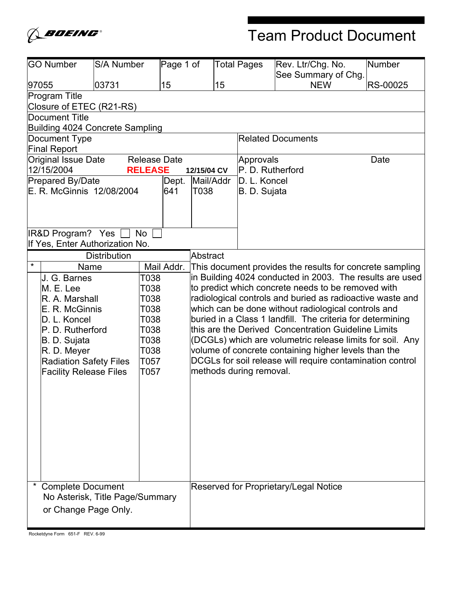

# Team Product Document

| <b>GO Number</b>                | <b>S/A Number</b>               | Page 1 of  |                 |    | <b>Total Pages</b>      | Rev. Ltr/Chg. No.                                          | <b>Number</b> |
|---------------------------------|---------------------------------|------------|-----------------|----|-------------------------|------------------------------------------------------------|---------------|
| 97055                           | 03731                           | 15         |                 | 15 |                         | See Summary of Chg.<br><b>NEW</b>                          | RS-00025      |
| Program Title                   |                                 |            |                 |    |                         |                                                            |               |
| Closure of ETEC (R21-RS)        |                                 |            |                 |    |                         |                                                            |               |
| <b>Document Title</b>           |                                 |            |                 |    |                         |                                                            |               |
| Building 4024 Concrete Sampling |                                 |            |                 |    |                         |                                                            |               |
| Document Type                   |                                 |            |                 |    |                         | <b>Related Documents</b>                                   |               |
| <b>Final Report</b>             |                                 |            |                 |    |                         |                                                            |               |
| Original Issue Date             | <b>Release Date</b>             |            |                 |    | Approvals               |                                                            | Date          |
| 12/15/2004                      | <b>RELEASE</b>                  |            | 12/15/04 CV     |    | P. D. Rutherford        |                                                            |               |
| Prepared By/Date                |                                 | Dept.      | Mail/Addr       |    | D. L. Koncel            |                                                            |               |
| E. R. McGinnis 12/08/2004       |                                 | 641        | T038            |    | B. D. Sujata            |                                                            |               |
|                                 |                                 |            |                 |    |                         |                                                            |               |
|                                 |                                 |            |                 |    |                         |                                                            |               |
| <b>IR&amp;D Program? Yes</b>    | <b>No</b>                       |            |                 |    |                         |                                                            |               |
| If Yes, Enter Authorization No. |                                 |            |                 |    |                         |                                                            |               |
|                                 | <b>Distribution</b>             |            | <b>Abstract</b> |    |                         |                                                            |               |
| *<br>Name                       |                                 | Mail Addr. |                 |    |                         | This document provides the results for concrete sampling   |               |
| J. G. Barnes                    | T038                            |            |                 |    |                         | in Building 4024 conducted in 2003. The results are used   |               |
| M. E. Lee                       | T038                            |            |                 |    |                         | to predict which concrete needs to be removed with         |               |
| R. A. Marshall                  | T038                            |            |                 |    |                         | radiological controls and buried as radioactive waste and  |               |
| E. R. McGinnis                  | T038                            |            |                 |    |                         | which can be done without radiological controls and        |               |
| D. L. Koncel                    | T038                            |            |                 |    |                         | buried in a Class 1 landfill. The criteria for determining |               |
| P. D. Rutherford                | T038                            |            |                 |    |                         | this are the Derived Concentration Guideline Limits        |               |
| B. D. Sujata                    | T038                            |            |                 |    |                         | (DCGLs) which are volumetric release limits for soil. Any  |               |
| R. D. Meyer                     | T038                            |            |                 |    |                         | volume of concrete containing higher levels than the       |               |
| <b>Radiation Safety Files</b>   | T057                            |            |                 |    |                         | DCGLs for soil release will require contamination control  |               |
| <b>Facility Release Files</b>   | T057                            |            |                 |    | methods during removal. |                                                            |               |
|                                 |                                 |            |                 |    |                         |                                                            |               |
|                                 |                                 |            |                 |    |                         |                                                            |               |
|                                 |                                 |            |                 |    |                         |                                                            |               |
|                                 |                                 |            |                 |    |                         |                                                            |               |
|                                 |                                 |            |                 |    |                         |                                                            |               |
|                                 |                                 |            |                 |    |                         |                                                            |               |
|                                 |                                 |            |                 |    |                         |                                                            |               |
|                                 |                                 |            |                 |    |                         |                                                            |               |
|                                 |                                 |            |                 |    |                         |                                                            |               |
| <b>Complete Document</b>        |                                 |            |                 |    |                         | Reserved for Proprietary/Legal Notice                      |               |
|                                 | No Asterisk, Title Page/Summary |            |                 |    |                         |                                                            |               |
| or Change Page Only.            |                                 |            |                 |    |                         |                                                            |               |
|                                 |                                 |            |                 |    |                         |                                                            |               |

Rocketdyne Form 651-F REV. 6-99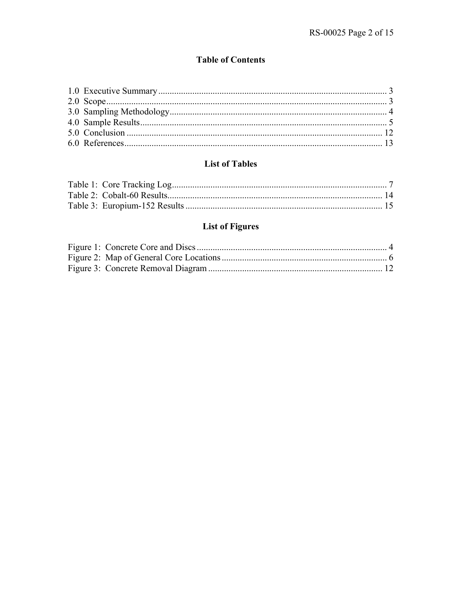### **Table of Contents**

### **List of Tables**

# **List of Figures**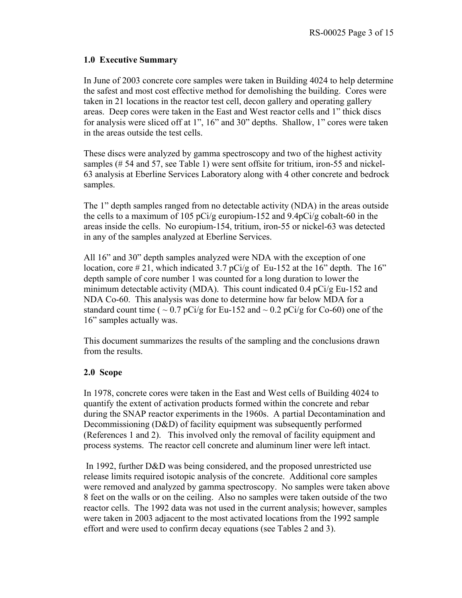### **1.0 Executive Summary**

In June of 2003 concrete core samples were taken in Building 4024 to help determine the safest and most cost effective method for demolishing the building. Cores were taken in 21 locations in the reactor test cell, decon gallery and operating gallery areas. Deep cores were taken in the East and West reactor cells and 1" thick discs for analysis were sliced off at 1", 16" and 30" depths. Shallow, 1" cores were taken in the areas outside the test cells.

These discs were analyzed by gamma spectroscopy and two of the highest activity samples (# 54 and 57, see Table 1) were sent offsite for tritium, iron-55 and nickel-63 analysis at Eberline Services Laboratory along with 4 other concrete and bedrock samples.

The 1" depth samples ranged from no detectable activity (NDA) in the areas outside the cells to a maximum of 105 pCi/g europium-152 and 9.4pCi/g cobalt-60 in the areas inside the cells. No europium-154, tritium, iron-55 or nickel-63 was detected in any of the samples analyzed at Eberline Services.

All 16" and 30" depth samples analyzed were NDA with the exception of one location, core  $\#21$ , which indicated 3.7 pCi/g of Eu-152 at the 16" depth. The 16" depth sample of core number 1 was counted for a long duration to lower the minimum detectable activity (MDA). This count indicated 0.4  $pCi/gEu-152$  and NDA Co-60. This analysis was done to determine how far below MDA for a standard count time ( $\sim 0.7$  pCi/g for Eu-152 and  $\sim 0.2$  pCi/g for Co-60) one of the 16" samples actually was.

This document summarizes the results of the sampling and the conclusions drawn from the results.

### **2.0 Scope**

In 1978, concrete cores were taken in the East and West cells of Building 4024 to quantify the extent of activation products formed within the concrete and rebar during the SNAP reactor experiments in the 1960s. A partial Decontamination and Decommissioning (D&D) of facility equipment was subsequently performed (References 1 and 2). This involved only the removal of facility equipment and process systems. The reactor cell concrete and aluminum liner were left intact.

 In 1992, further D&D was being considered, and the proposed unrestricted use release limits required isotopic analysis of the concrete. Additional core samples were removed and analyzed by gamma spectroscopy. No samples were taken above 8 feet on the walls or on the ceiling. Also no samples were taken outside of the two reactor cells. The 1992 data was not used in the current analysis; however, samples were taken in 2003 adjacent to the most activated locations from the 1992 sample effort and were used to confirm decay equations (see Tables 2 and 3).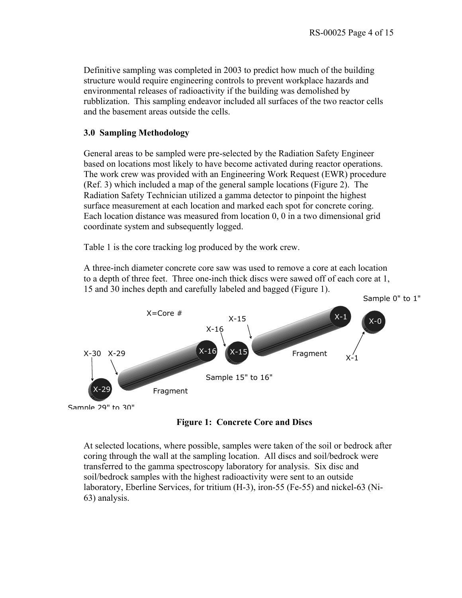Definitive sampling was completed in 2003 to predict how much of the building structure would require engineering controls to prevent workplace hazards and environmental releases of radioactivity if the building was demolished by rubblization. This sampling endeavor included all surfaces of the two reactor cells and the basement areas outside the cells.

### **3.0 Sampling Methodology**

General areas to be sampled were pre-selected by the Radiation Safety Engineer based on locations most likely to have become activated during reactor operations. The work crew was provided with an Engineering Work Request (EWR) procedure (Ref. 3) which included a map of the general sample locations (Figure 2). The Radiation Safety Technician utilized a gamma detector to pinpoint the highest surface measurement at each location and marked each spot for concrete coring. Each location distance was measured from location 0, 0 in a two dimensional grid coordinate system and subsequently logged.

Table 1 is the core tracking log produced by the work crew.

A three-inch diameter concrete core saw was used to remove a core at each location to a depth of three feet. Three one-inch thick discs were sawed off of each core at 1, 15 and 30 inches depth and carefully labeled and bagged (Figure 1).



**Figure 1: Concrete Core and Discs** 

At selected locations, where possible, samples were taken of the soil or bedrock after coring through the wall at the sampling location. All discs and soil/bedrock were transferred to the gamma spectroscopy laboratory for analysis. Six disc and soil/bedrock samples with the highest radioactivity were sent to an outside laboratory, Eberline Services, for tritium (H-3), iron-55 (Fe-55) and nickel-63 (Ni-63) analysis.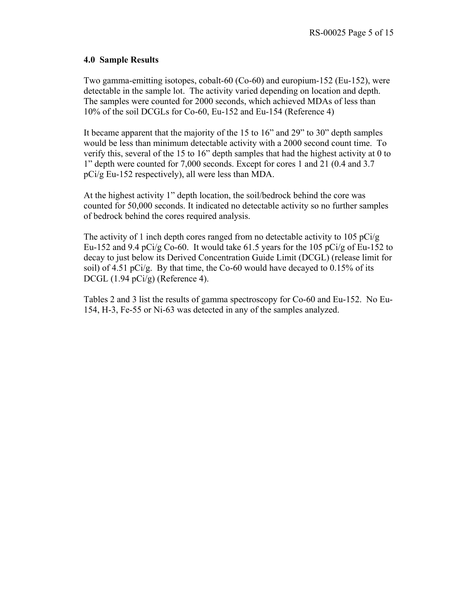### **4.0 Sample Results**

Two gamma-emitting isotopes, cobalt-60 (Co-60) and europium-152 (Eu-152), were detectable in the sample lot. The activity varied depending on location and depth. The samples were counted for 2000 seconds, which achieved MDAs of less than 10% of the soil DCGLs for Co-60, Eu-152 and Eu-154 (Reference 4)

It became apparent that the majority of the 15 to 16" and 29" to 30" depth samples would be less than minimum detectable activity with a 2000 second count time. To verify this, several of the 15 to 16" depth samples that had the highest activity at 0 to 1" depth were counted for 7,000 seconds. Except for cores 1 and 21 (0.4 and 3.7 pCi/g Eu-152 respectively), all were less than MDA.

At the highest activity 1" depth location, the soil/bedrock behind the core was counted for 50,000 seconds. It indicated no detectable activity so no further samples of bedrock behind the cores required analysis.

The activity of 1 inch depth cores ranged from no detectable activity to 105 pCi/g Eu-152 and 9.4 pCi/g Co-60. It would take 61.5 years for the 105 pCi/g of Eu-152 to decay to just below its Derived Concentration Guide Limit (DCGL) (release limit for soil) of 4.51 pCi/g. By that time, the Co-60 would have decayed to  $0.15\%$  of its DCGL (1.94 pCi/g) (Reference 4).

Tables 2 and 3 list the results of gamma spectroscopy for Co-60 and Eu-152. No Eu-154, H-3, Fe-55 or Ni-63 was detected in any of the samples analyzed.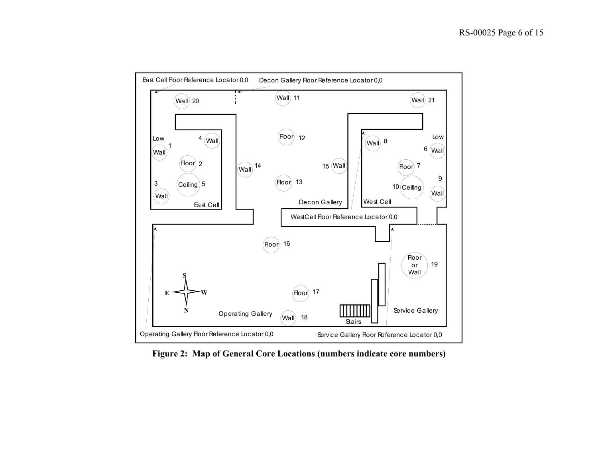

**Figure 2: Map of General Core Locations (numbers indicate core numbers)**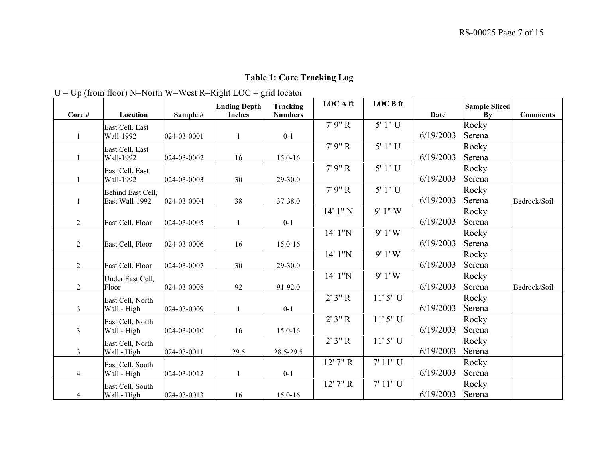### **Table 1: Core Tracking Log**

# $U = Up$  (from floor) N=North W=West R=Right LOC = grid locator

|                |                   |             | <b>Ending Depth</b> | <b>Tracking</b> | <b>LOCAft</b> | <b>LOCB</b> ft |           | <b>Sample Sliced</b> |                 |
|----------------|-------------------|-------------|---------------------|-----------------|---------------|----------------|-----------|----------------------|-----------------|
| Core#          | Location          | Sample #    | <b>Inches</b>       | <b>Numbers</b>  |               |                | Date      | By                   | <b>Comments</b> |
|                | East Cell, East   |             |                     |                 | 7'9'' R       | 5' 1" U        |           | Rocky                |                 |
|                | Wall-1992         | 024-03-0001 | $\mathbf{1}$        | $0 - 1$         |               |                | 6/19/2003 | Serena               |                 |
|                | East Cell, East   |             |                     |                 | 7' 9" R       | 5' 1" U        |           | Rocky                |                 |
|                | Wall-1992         | 024-03-0002 | 16                  | 15.0-16         |               |                | 6/19/2003 | Serena               |                 |
|                | East Cell, East   |             |                     |                 | 7'9'' R       | 5' 1" U        |           | Rocky                |                 |
|                | Wall-1992         | 024-03-0003 | 30                  | 29-30.0         |               |                | 6/19/2003 | Serena               |                 |
|                | Behind East Cell, |             |                     |                 | 7'9'' R       | 5' 1" U        |           | Rocky                |                 |
|                | East Wall-1992    | 024-03-0004 | 38                  | 37-38.0         |               |                | 6/19/2003 | Serena               | Bedrock/Soil    |
|                |                   |             |                     |                 | $14'1''$ N    | 9'1''W         |           | Rocky                |                 |
| $\overline{2}$ | East Cell, Floor  | 024-03-0005 | $\mathbf{1}$        | $0 - 1$         |               |                | 6/19/2003 | Serena               |                 |
|                |                   |             |                     |                 | 14' 1"N       | 9' 1"W         |           | Rocky                |                 |
| $\overline{2}$ | East Cell, Floor  | 024-03-0006 | 16                  | 15.0-16         |               |                | 6/19/2003 | Serena               |                 |
|                |                   |             |                     |                 | 14' 1"N       | 9' 1"W         |           | Rocky                |                 |
| $\overline{2}$ | East Cell, Floor  | 024-03-0007 | 30                  | 29-30.0         |               |                | 6/19/2003 | Serena               |                 |
|                | Under East Cell,  |             |                     |                 | 14' 1"N       | 9'1''W         |           | Rocky                |                 |
| $\overline{2}$ | Floor             | 024-03-0008 | 92                  | 91-92.0         |               |                | 6/19/2003 | Serena               | Bedrock/Soil    |
|                | East Cell, North  |             |                     |                 | 2'3'' R       | $11'5''$ U     |           | Rocky                |                 |
| $\overline{3}$ | Wall - High       | 024-03-0009 | $\mathbf{1}$        | $0 - 1$         |               |                | 6/19/2003 | Serena               |                 |
|                | East Cell, North  |             |                     |                 | 2'3'' R       | 11' 5" U       |           | Rocky                |                 |
| 3 <sup>7</sup> | Wall - High       | 024-03-0010 | 16                  | 15.0-16         |               |                | 6/19/2003 | Serena               |                 |
|                | East Cell, North  |             |                     |                 | 2'3'' R       | $11'5''$ U     |           | Rocky                |                 |
| 3 <sup>1</sup> | Wall - High       | 024-03-0011 | 29.5                | 28.5-29.5       |               |                | 6/19/2003 | Serena               |                 |
|                | East Cell, South  |             |                     |                 | $12'$ 7" R    | 7' 11" U       |           | Rocky                |                 |
| $\overline{4}$ | Wall - High       | 024-03-0012 | $\mathbf{1}$        | $0-1$           |               |                | 6/19/2003 | Serena               |                 |
|                | East Cell, South  |             |                     |                 | 12' 7" R      | 7' 11" U       |           | Rocky                |                 |
| $\overline{4}$ | Wall - High       | 024-03-0013 | 16                  | 15.0-16         |               |                | 6/19/2003 | Serena               |                 |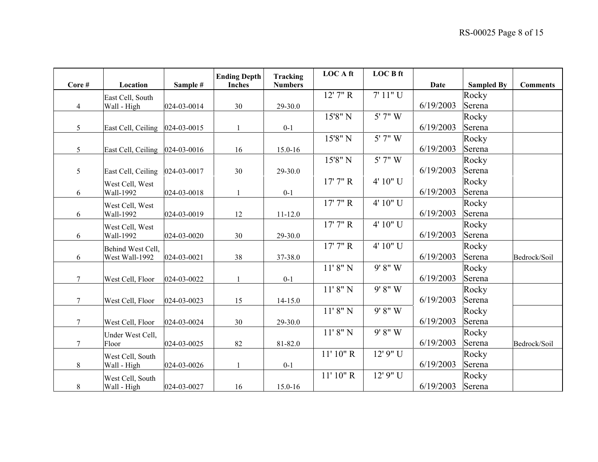|                |                                 |             | <b>Ending Depth</b> | Tracking       | <b>LOCA</b> ft | <b>LOCB</b> ft  |           |                   |                 |
|----------------|---------------------------------|-------------|---------------------|----------------|----------------|-----------------|-----------|-------------------|-----------------|
| Core#          | Location                        | Sample #    | <b>Inches</b>       | <b>Numbers</b> |                |                 | Date      | <b>Sampled By</b> | <b>Comments</b> |
|                | East Cell, South                |             |                     |                | $12'$ 7" R     | 7' 11" U        |           | Rocky             |                 |
| $\overline{4}$ | Wall - High                     | 024-03-0014 | 30                  | 29-30.0        |                |                 | 6/19/2003 | Serena            |                 |
|                |                                 |             |                     |                | 15'8" N        | $5'$ 7" $\rm W$ |           | Rocky             |                 |
| 5              | East Cell, Ceiling  024-03-0015 |             |                     | $0 - 1$        |                |                 | 6/19/2003 | Serena            |                 |
|                |                                 |             |                     |                | 15'8" N        | 5' 7" W         |           | Rocky             |                 |
| 5              | East Cell, Ceiling  024-03-0016 |             | 16                  | 15.0-16        |                |                 | 6/19/2003 | Serena            |                 |
|                |                                 |             |                     |                | 15'8" N        | 5' 7" W         |           | Rocky             |                 |
| 5              | East Cell, Ceiling 024-03-0017  |             | 30                  | 29-30.0        |                |                 | 6/19/2003 | Serena            |                 |
|                | West Cell, West                 |             |                     |                | 17'7'' R       | 4' 10" U        |           | Rocky             |                 |
| 6              | Wall-1992                       | 024-03-0018 | $\mathbf{1}$        | $0 - 1$        |                |                 | 6/19/2003 | Serena            |                 |
|                | West Cell, West                 |             |                     |                | 17'7'' R       | 4' 10" U        |           | Rocky             |                 |
| 6              | Wall-1992                       | 024-03-0019 | 12                  | $11 - 12.0$    |                |                 | 6/19/2003 | Serena            |                 |
|                | West Cell, West                 |             |                     |                | 17'7'' R       | 4' 10" U        |           | Rocky             |                 |
| 6              | Wall-1992                       | 024-03-0020 | 30                  | 29-30.0        |                |                 | 6/19/2003 | Serena            |                 |
|                | Behind West Cell,               |             |                     |                | 17'7'' R       | 4' 10" U        |           | Rocky             |                 |
| 6              | West Wall-1992                  | 024-03-0021 | 38                  | 37-38.0        |                |                 | 6/19/2003 | Serena            | Bedrock/Soil    |
|                |                                 |             |                     |                | 11' 8'' N      | 9' 8" W         |           | Rocky             |                 |
| 7              | West Cell, Floor                | 024-03-0022 |                     | $0 - 1$        |                |                 | 6/19/2003 | Serena            |                 |
|                |                                 |             |                     |                | 11' 8'' N      | 9' 8'' W        |           | Rocky             |                 |
| $\tau$         | West Cell, Floor                | 024-03-0023 | 15                  | $14 - 15.0$    |                |                 | 6/19/2003 | Serena            |                 |
|                |                                 |             |                     |                | 11' 8'' N      | 9' 8'' W        |           | Rocky             |                 |
| 7              | West Cell, Floor                | 024-03-0024 | 30                  | 29-30.0        |                |                 | 6/19/2003 | Serena            |                 |
|                | Under West Cell,                |             |                     |                | 11' 8'' N      | 9' 8" W         |           | Rocky             |                 |
| $\overline{7}$ | Floor                           | 024-03-0025 | 82                  | 81-82.0        |                |                 | 6/19/2003 | Serena            | Bedrock/Soil    |
|                | West Cell, South                |             |                     |                | 11' 10'' R     | 12' 9" U        |           | Rocky             |                 |
| 8              | Wall - High                     | 024-03-0026 | $\mathbf{1}$        | $0 - 1$        |                |                 | 6/19/2003 | Serena            |                 |
|                | West Cell, South                |             |                     |                | 11' 10'' R     | 12' 9" U        |           | Rocky             |                 |
| 8              | Wall - High                     | 024-03-0027 | 16                  | 15.0-16        |                |                 | 6/19/2003 | Serena            |                 |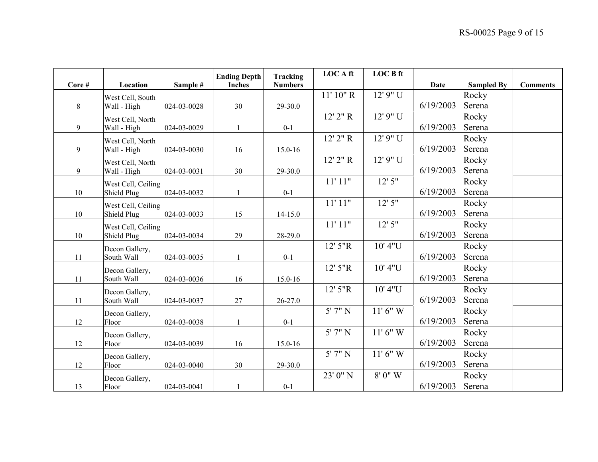|       |                    |             | <b>Ending Depth</b> | Tracking       | <b>LOCAft</b>        | <b>LOC B ft</b> |             |                   |                 |
|-------|--------------------|-------------|---------------------|----------------|----------------------|-----------------|-------------|-------------------|-----------------|
| Core# | Location           | Sample #    | <b>Inches</b>       | <b>Numbers</b> |                      |                 | <b>Date</b> | <b>Sampled By</b> | <b>Comments</b> |
|       | West Cell, South   |             |                     |                | 11' 10'' R           | 12' 9" U        |             | Rocky             |                 |
| 8     | Wall - High        | 024-03-0028 | 30                  | 29-30.0        |                      |                 | 6/19/2003   | Serena            |                 |
|       | West Cell, North   |             |                     |                | $12'$ $2''$ R        | 12' 9" U        |             | Rocky             |                 |
| 9     | Wall - High        | 024-03-0029 |                     | $0 - 1$        |                      |                 | 6/19/2003   | Serena            |                 |
|       | West Cell, North   |             |                     |                | $12'$ $2''$ R        | 12' 9" U        |             | Rocky             |                 |
| 9     | Wall - High        | 024-03-0030 | 16                  | 15.0-16        |                      |                 | 6/19/2003   | Serena            |                 |
|       | West Cell, North   |             |                     |                | $12'$ $2''$ R        | 12' 9" U        |             | Rocky             |                 |
| 9     | Wall - High        | 024-03-0031 | 30                  | 29-30.0        |                      |                 | 6/19/2003   | Serena            |                 |
|       | West Cell, Ceiling |             |                     |                | 11'11"               | 12'5''          |             | Rocky             |                 |
| 10    | Shield Plug        | 024-03-0032 | 1                   | $0 - 1$        |                      |                 | 6/19/2003   | Serena            |                 |
|       | West Cell, Ceiling |             |                     |                | 11'11"               | 12'5''          |             | Rocky             |                 |
| 10    | Shield Plug        | 024-03-0033 | 15                  | $14 - 15.0$    |                      |                 | 6/19/2003   | Serena            |                 |
|       | West Cell, Ceiling |             |                     |                | 11'11"               | 12'5''          |             | Rocky             |                 |
| 10    | Shield Plug        | 024-03-0034 | 29                  | 28-29.0        |                      |                 | 6/19/2003   | Serena            |                 |
|       | Decon Gallery,     |             |                     |                | 12' 5"R              | 10' 4"U         |             | Rocky             |                 |
| 11    | South Wall         | 024-03-0035 | 1                   | $0 - 1$        |                      |                 | 6/19/2003   | Serena            |                 |
|       | Decon Gallery,     |             |                     |                | 12' 5"R              | 10' 4"U         |             | Rocky             |                 |
| 11    | South Wall         | 024-03-0036 | 16                  | 15.0-16        |                      |                 | 6/19/2003   | Serena            |                 |
|       | Decon Gallery,     |             |                     |                | 12' 5"R              | 10' 4"U         |             | Rocky             |                 |
| 11    | South Wall         | 024-03-0037 | 27                  | $26 - 27.0$    |                      |                 | 6/19/2003   | Serena            |                 |
|       | Decon Gallery,     |             |                     |                | $5'$ 7" N            | $11'6''$ W      |             | Rocky             |                 |
| 12    | Floor              | 024-03-0038 | 1                   | $0 - 1$        |                      |                 | 6/19/2003   | Serena            |                 |
|       | Decon Gallery,     |             |                     |                | $5'$ 7" $\mathrm{N}$ | $11'6''$ W      |             | Rocky             |                 |
| 12    | Floor              | 024-03-0039 | 16                  | $15.0 - 16$    |                      |                 | 6/19/2003   | Serena            |                 |
|       | Decon Gallery,     |             |                     |                | $5'$ 7" N            | $11'6''$ W      |             | Rocky             |                 |
| 12    | Floor              | 024-03-0040 | 30                  | 29-30.0        |                      |                 | 6/19/2003   | Serena            |                 |
|       | Decon Gallery,     |             |                     |                | 23' 0" N             | $8'0''$ W       |             | Rocky             |                 |
| 13    | Floor              | 024-03-0041 | $\mathbf{1}$        | $0 - 1$        |                      |                 | 6/19/2003   | Serena            |                 |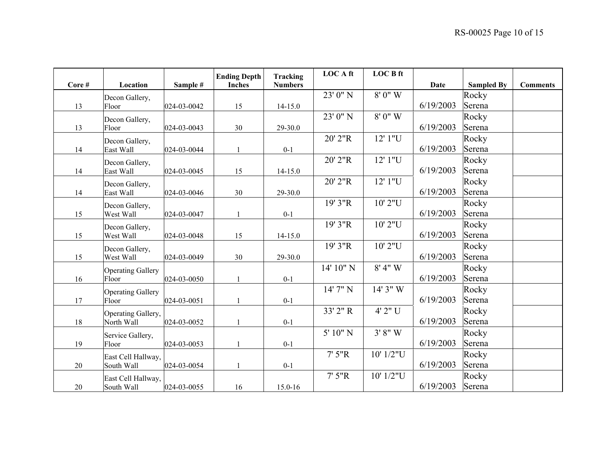|       |                          |             | <b>Ending Depth</b> | Tracking       | <b>LOCAft</b> | <b>LOC B ft</b> |             |                   |                 |
|-------|--------------------------|-------------|---------------------|----------------|---------------|-----------------|-------------|-------------------|-----------------|
| Core# | Location                 | Sample #    | <b>Inches</b>       | <b>Numbers</b> |               |                 | <b>Date</b> | <b>Sampled By</b> | <b>Comments</b> |
|       | Decon Gallery,           |             |                     |                | 23' 0" N      | $8'0''$ W       |             | Rocky             |                 |
| 13    | Floor                    | 024-03-0042 | 15                  | $14 - 15.0$    |               |                 | 6/19/2003   | Serena            |                 |
|       | Decon Gallery,           |             |                     |                | 23' 0" N      | $8'0''$ W       |             | Rocky             |                 |
| 13    | Floor                    | 024-03-0043 | 30                  | 29-30.0        |               |                 | 6/19/2003   | Serena            |                 |
|       | Decon Gallery,           |             |                     |                | 20' 2"R       | 12' 1"U         |             | Rocky             |                 |
| 14    | East Wall                | 024-03-0044 |                     | $0 - 1$        |               |                 | 6/19/2003   | Serena            |                 |
|       | Decon Gallery,           |             |                     |                | 20' 2"R       | 12' 1"U         |             | Rocky             |                 |
| 14    | East Wall                | 024-03-0045 | 15                  | $14 - 15.0$    |               |                 | 6/19/2003   | Serena            |                 |
|       | Decon Gallery,           |             |                     |                | 20' 2"R       | 12' 1"U         |             | Rocky             |                 |
| 14    | East Wall                | 024-03-0046 | 30                  | 29-30.0        |               |                 | 6/19/2003   | Serena            |                 |
|       | Decon Gallery,           |             |                     |                | 19' 3"R       | 10'2"U          |             | Rocky             |                 |
| 15    | West Wall                | 024-03-0047 |                     | $0 - 1$        |               |                 | 6/19/2003   | Serena            |                 |
|       | Decon Gallery,           |             |                     |                | 19' 3"R       | 10'2"U          |             | Rocky             |                 |
| 15    | West Wall                | 024-03-0048 | 15                  | $14 - 15.0$    |               |                 | 6/19/2003   | Serena            |                 |
|       | Decon Gallery,           |             |                     |                | 19' 3"R       | 10'2"U          |             | Rocky             |                 |
| 15    | West Wall                | 024-03-0049 | 30                  | 29-30.0        |               |                 | 6/19/2003   | Serena            |                 |
|       | <b>Operating Gallery</b> |             |                     |                | 14' 10" N     | $8'$ 4" W       |             | Rocky             |                 |
| 16    | Floor                    | 024-03-0050 |                     | $0 - 1$        |               |                 | 6/19/2003   | Serena            |                 |
|       | <b>Operating Gallery</b> |             |                     |                | 14' 7" N      | 14' 3" W        |             | Rocky             |                 |
| 17    | Floor                    | 024-03-0051 |                     | $0 - 1$        |               |                 | 6/19/2003   | Serena            |                 |
|       | Operating Gallery,       |             |                     |                | 33' 2" R      | 4' 2" U         |             | Rocky             |                 |
| 18    | North Wall               | 024-03-0052 |                     | $0 - 1$        |               |                 | 6/19/2003   | Serena            |                 |
|       | Service Gallery,         |             |                     |                | 5' 10" N      | 3' 8'' W        |             | Rocky             |                 |
| 19    | Floor                    | 024-03-0053 |                     | $0 - 1$        |               |                 | 6/19/2003   | Serena            |                 |
|       | East Cell Hallway,       |             |                     |                | 7'5''R        | 10' 1/2"U       |             | Rocky             |                 |
| 20    | South Wall               | 024-03-0054 |                     | $0 - 1$        |               |                 | 6/19/2003   | Serena            |                 |
|       | East Cell Hallway,       |             |                     |                | 7'5''R        | 10' 1/2"U       |             | Rocky             |                 |
| 20    | South Wall               | 024-03-0055 | 16                  | 15.0-16        |               |                 | 6/19/2003   | Serena            |                 |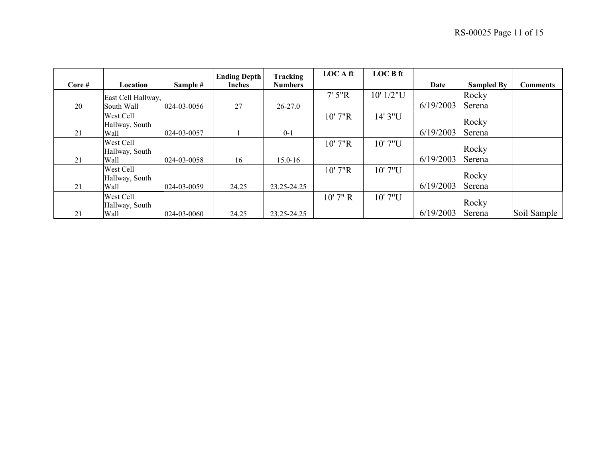|        |                                     |             | <b>Ending Depth</b> | Tracking       | <b>LOCAft</b> | <b>LOC B ft</b> |           |                   |                 |
|--------|-------------------------------------|-------------|---------------------|----------------|---------------|-----------------|-----------|-------------------|-----------------|
| Core # | Location                            | Sample #    | <b>Inches</b>       | <b>Numbers</b> |               |                 | Date      | <b>Sampled By</b> | <b>Comments</b> |
|        | East Cell Hallway,                  |             |                     |                | $7'$ 5"R      | 10' 1/2"U       |           | Rocky             |                 |
| 20     | South Wall                          | 024-03-0056 | 27                  | $26 - 27.0$    |               |                 | 6/19/2003 | Serena            |                 |
|        | West Cell<br>Hallway, South         |             |                     |                | 10' 7"R       | 14' 3"U         |           | Rocky             |                 |
| 21     | Wall                                | 024-03-0057 |                     | $0 - 1$        |               |                 | 6/19/2003 | Serena            |                 |
|        | West Cell<br>Hallway, South         |             |                     |                | 10' 7"R       | 10' 7"U         |           | Rocky             |                 |
| 21     | Wall                                | 024-03-0058 | 16                  | $15.0 - 16$    |               |                 | 6/19/2003 | Serena            |                 |
| 21     | West Cell<br>Hallway, South<br>Wall | 024-03-0059 | 24.25               | 23.25-24.25    | 10' 7"R       | 10' 7"U         | 6/19/2003 | Rocky<br>Serena   |                 |
| 21     | West Cell<br>Hallway, South<br>Wall | 024-03-0060 | 24.25               | 23.25-24.25    | $10'$ 7" R    | 10' 7"U         | 6/19/2003 | Rocky<br>Serena   | Soil Sample     |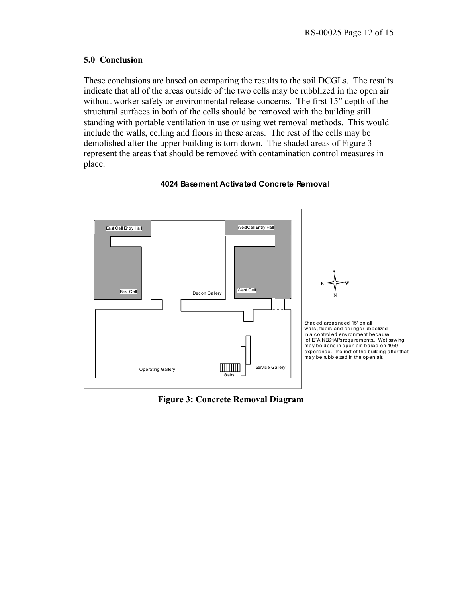#### **5.0 Conclusion**

These conclusions are based on comparing the results to the soil DCGLs. The results indicate that all of the areas outside of the two cells may be rubblized in the open air without worker safety or environmental release concerns. The first 15" depth of the structural surfaces in both of the cells should be removed with the building still standing with portable ventilation in use or using wet removal methods. This would include the walls, ceiling and floors in these areas. The rest of the cells may be demolished after the upper building is torn down. The shaded areas of Figure 3 represent the areas that should be removed with contamination control measures in place.



#### **4024 Basement Activated Concrete Removal**

**Figure 3: Concrete Removal Diagram**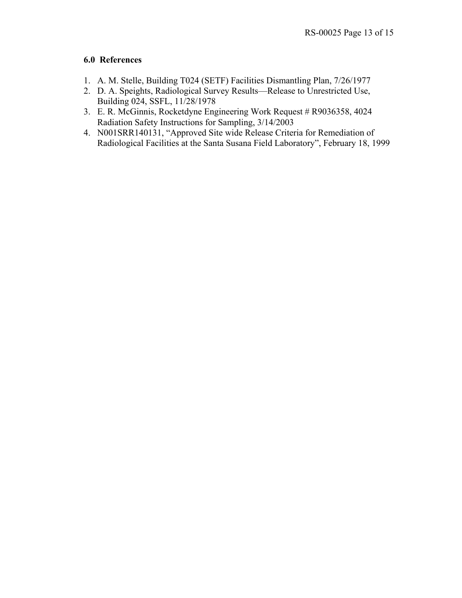### **6.0 References**

- 1. A. M. Stelle, Building T024 (SETF) Facilities Dismantling Plan, 7/26/1977
- 2. D. A. Speights, Radiological Survey Results—Release to Unrestricted Use, Building 024, SSFL, 11/28/1978
- 3. E. R. McGinnis, Rocketdyne Engineering Work Request # R9036358, 4024 Radiation Safety Instructions for Sampling, 3/14/2003
- 4. N001SRR140131, "Approved Site wide Release Criteria for Remediation of Radiological Facilities at the Santa Susana Field Laboratory", February 18, 1999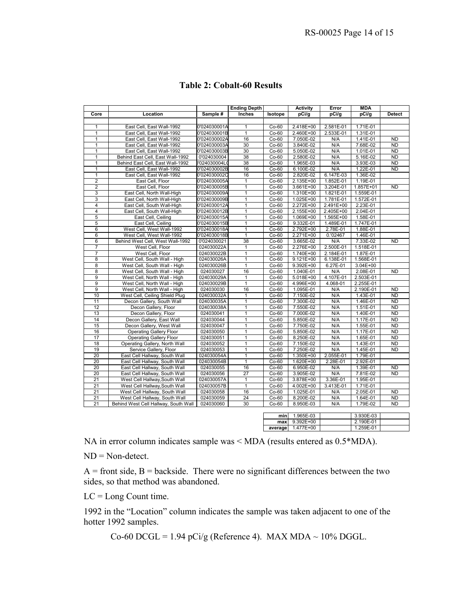|                     |                                                              |                         | <b>Activity</b>                | Error              | <b>MDA</b>             |                  |                       |                        |
|---------------------|--------------------------------------------------------------|-------------------------|--------------------------------|--------------------|------------------------|------------------|-----------------------|------------------------|
| Core                | Location                                                     | Sample #                | <b>Ending Depth</b><br>Inches  | Isotope            | pCi/g                  | pCi/g            | pCi/g                 | <b>Detect</b>          |
|                     |                                                              |                         |                                |                    |                        |                  |                       |                        |
| $\mathbf{1}$        | East Cell, East Wall-1992                                    | 0'024030001A            | $\mathbf{1}$                   | $Co-60$            | 2.418E+00              | 2.581E-01        | 1.71E-01              |                        |
| 1                   | East Cell, East Wall-1992                                    | 0'024030001B            | $\mathbf{1}$                   | $Co-60$            | 2.460E+00              | 2.533E-01        | 1.31E-01              |                        |
| 1                   | East Cell, East Wall-1992                                    | 0'024030002A            | 16                             | $Co-60$            | 7.050E-02              | N/A              | $1.41E-01$            | <b>ND</b>              |
| $\mathbf{1}$        | East Cell, East Wall-1992                                    | 0'024030003A            | 30                             | $Co-60$            | 3.840E-02              | N/A              | 7.68E-02              | <b>ND</b>              |
| $\mathbf{1}$        | East Cell, East Wall-1992                                    | 0'024030003B            | 30                             | $Co-60$            | 5.050E-02              | N/A              | 1.01E-01              | <b>ND</b>              |
| $\overline{1}$      | Behind East Cell. East Wall-1992                             | 0'024030004             | 38                             | $Co-60$            | 2.580E-02              | N/A              | 5.16E-02              | <b>ND</b>              |
| $\mathbf{1}$        | Behind East Cell, East Wall-1992                             | 024030004L              | 38                             | $Co-60$            | 1.965E-03              | N/A              | 3.93E-03              | <b>ND</b>              |
| 1                   | East Cell, East Wall-1992                                    | 0'024030002B            | 16                             | $Co-60$            | 6.100E-02              | N/A              | 1.22E-01              | <b>ND</b>              |
| $\mathbf{1}$        | East Cell, East Wall-1992                                    | 0'024030002C            | 16                             | $Co-60$            | 2.820E-02              | 6.147E-03        | 1.36E-02              |                        |
| $\overline{2}$      | East Cell. Floor                                             | 0'024030005A            | 1                              | $Co-60$            | 2.135E+00              | 1.852E-01        | 1.19E-01              |                        |
| $\overline{2}$      | East Cell, Floor                                             | 0'024030005B            | $\mathbf{1}$                   | $Co-60$            | 3.661E+00              | 3.204E-01        | 1.857E+01             | <b>ND</b>              |
| 3                   | East Cell, North Wall-High                                   | 0'024030009A            | $\mathbf{1}$                   | $Co-60$            | 1.310E+00              | 1.821E-01        | 1.559E-01             |                        |
| 3                   | East Cell, North Wall-High                                   | 0'024030009B            | 1                              | $Co-60$            | 1.025E+00              | 1.781E-01        | 1.572E-01             |                        |
| $\overline{4}$      | East Cell, South Wall-High                                   | 0'024030012A            | $\overline{1}$                 | $Co-60$            | 2.272E+00              | 2.491E+00        | 2.23E-01              |                        |
| $\overline{4}$      | East Cell, South Wall-High                                   | 0'024030012B            | $\mathbf{1}$                   | $Co-60$            | 2.155E+00              | 2.405E+00        | 2.04E-01              |                        |
| $\overline{5}$      | East Cell, Ceiling                                           | 0'024030015A            | $\mathbf{1}$                   | $Co-60$            | 1.069E+00              | 1.565E+00        | 1.58E-01              |                        |
| 5                   | East Cell, Ceiling                                           | 0'024030015B            | $\mathbf{1}$                   | $Co-60$            | 9.332E-01              | 1.489E-01        | 1.747E-01             |                        |
| 6                   | West Cell, West Wall-1992                                    | 0'024030018A            | $\mathbf{1}$                   | $Co-60$            | 2.792E+00              | 2.78E-01         | 1.88E-01              |                        |
| 6                   | West Cell, West Wall-1992                                    | 0'024030018B            | $\mathbf{1}$                   | $Co-60$            | 2.271E+00              | 0.'02467         | 1.46E-01              |                        |
| 6                   | Behind West Cell, West Wall-1992                             | 0'024030021             | 38                             | $Co-60$            | 3.665E-02              | N/A              | 7.33E-02              | <b>ND</b>              |
| 7                   | West Cell, Floor                                             | 024030022A              |                                | $Co-60$            | 2.276E+00              | 2.500E-01        | 1.518E-01             |                        |
| $\overline{7}$      | West Cell, Floor                                             | 024030022B              | 1<br>$\overline{1}$            | $Co-60$            | 1.740E+00              | 2.184E-01        | 1.87E-01              |                        |
| 8                   |                                                              | 024030026A              | $\mathbf{1}$                   | $Co-60$            |                        | 6.138E-01        | 1.568E-01             |                        |
|                     | West Cell, South Wall - High                                 |                         |                                |                    | 9.121E+00              |                  |                       |                        |
| 8                   | West Cell, South Wall - High                                 | 024030026B              | $\mathbf{1}$                   | $Co-60$            | 9.392E+00              | 6.27E-01         | 3.04E+00              |                        |
| 8<br>$\overline{9}$ | West Cell, South Wall - High<br>West Cell, North Wall - High | 024030027<br>024030029A | 16<br>$\mathbf{1}$             | $Co-60$<br>$Co-60$ | 1.040E-01<br>5.018E+00 | N/A<br>4.107E-01 | 2.08E-01<br>2.503E-01 | <b>ND</b>              |
| $\overline{9}$      |                                                              |                         |                                |                    | 4.996E+00              | 4.068-01         |                       |                        |
| $\overline{9}$      | West Cell, North Wall - High                                 | 024030029B              | $\mathbf{1}$                   | $Co-60$            |                        |                  | 2.255E-01             |                        |
|                     | West Cell, North Wall - High                                 | 024030030               | 16                             | $Co-60$            | 1.095E-01              | N/A              | 2.190E-01             | <b>ND</b>              |
| 10                  | West Cell, Ceiling Shield Plug                               | 024030032A              | $\mathbf{1}$<br>$\overline{1}$ | $Co-60$            | 7.150E-02              | N/A              | 1.43E-01              | <b>ND</b><br><b>ND</b> |
| 11                  | Decon Gallery, South Wall                                    | 024030035A              |                                | $Co-60$            | 7.300E-02              | N/A              | 1.46E-01              |                        |
| 12                  | Decon Gallery, Floor                                         | 024030038A              | $\mathbf{1}$                   | $Co-60$            | 7.550E-02              | N/A              | 1.51E-01              | <b>ND</b>              |
| 13                  | Decon Gallery, Floor                                         | 024030041               | 1                              | $Co-60$            | 7.000E-02              | N/A              | 1.40E-01              | <b>ND</b>              |
| 14                  | Decon Gallery, East Wall                                     | 024030044               | $\mathbf{1}$                   | $Co-60$            | 5.850E-02              | N/A              | 1.17E-01              | <b>ND</b>              |
| 15                  | Decon Gallery, West Wall                                     | 024030047               | $\mathbf{1}$                   | $Co-60$            | 7.750E-02              | N/A              | 1.55E-01              | <b>ND</b>              |
| 16                  | <b>Operating Gallery Floor</b>                               | 024030050               | 1                              | $Co-60$            | 5.850E-02              | N/A              | 1.17E-01              | <b>ND</b>              |
| 17                  | Operating Gallery Floor                                      | 024030051               | $\mathbf{1}$                   | $Co-60$            | 8.250E-02              | N/A              | 1.65E-01              | <b>ND</b>              |
| 18                  | Operating Gallery, North Wall                                | 024030052               | 1                              | $Co-60$            | 7.150E-02              | N/A              | 1.43E-01              | <b>ND</b>              |
| 19                  | Service Gallery, Floor                                       | 024030053               | $\overline{1}$                 | $Co-60$            | 7.250E-02              | N/A              | 1.45E-01              | <b>ND</b>              |
| 20                  | East Cell Hallway, South Wall                                | 024030054A              | $\mathbf{1}$                   | $Co-60$            | 1.350E+00              | 2.055E-01        | 1.79E-01              |                        |
| 20                  | East Cell Hallway, South Wall                                | 024030054B              | $\mathbf{1}$                   | $Co-60$            | 1.620E+00              | 2.28E-01         | 2.92E-01              |                        |
| 20                  | East Cell Hallway, South Wall                                | 024030055               | 16                             | $Co-60$            | 6.950E-02              | N/A              | 1.39E-01              | <b>ND</b>              |
| 20                  | East Cell Hallway, South Wall                                | 024030056               | 27                             | $Co-60$            | 3.905E-02              | N/A              | 7.81E-02              | <b>ND</b>              |
| 21                  | West Cell Hallway, South Wall                                | 024030057A              | $\mathbf{1}$                   | Co-60              | 3.878E+00              | 3.36E-01         | 1.95E-01              |                        |
| 21                  | West Cell Hallway, South Wall                                | 024030057B              | $\mathbf{1}$                   | $Co-60$            | 4.002E+00              | 3.413E-01        | 1.71E-01              |                        |
| 21                  | West Cell Hallway, South Wall                                | 024030058               | 16                             | $Co-60$            | 1.025E-01              | N/A              | 2.05E-01              | <b>ND</b>              |
| 21                  | West Cell Hallway, South Wall                                | 024030059               | $\overline{24}$                | $Co-60$            | 8.200E-02              | N/A              | 1.64E-01              | <b>ND</b>              |
| 21                  | Behind West Cell Hallway, South Wall                         | 024030060               | 30                             | $Co-60$            | 8.950E-03              | N/A              | 1.79E-02              | <b>ND</b>              |
|                     |                                                              |                         |                                |                    |                        |                  |                       |                        |
|                     |                                                              |                         |                                | min                | 1.965E-03              |                  | 3.930E-03             |                        |
|                     |                                                              |                         |                                | max                | $9.392E + 00$          |                  | 2.190E-01             |                        |
|                     |                                                              |                         |                                |                    | average $1.477E+00$    |                  | 1.259E-01             |                        |

### **Table 2: Cobalt-60 Results**

NA in error column indicates sample was < MDA (results entered as 0.5\*MDA).

 $ND = Non-detect.$ 

 $A =$  front side,  $B =$  backside. There were no significant differences between the two sides, so that method was abandoned.

LC = Long Count time.

1992 in the "Location" column indicates the sample was taken adjacent to one of the hotter 1992 samples.

Co-60 DCGL =  $1.94$  pCi/g (Reference 4). MAX MDA ~  $10\%$  DGGL.